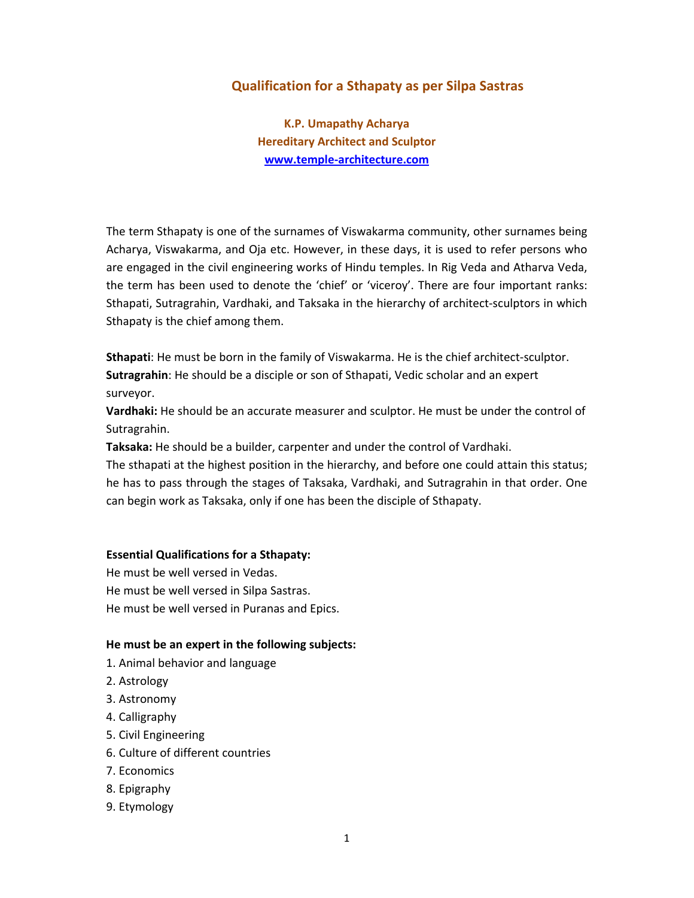# **Qualification for a Sthapaty as per Silpa Sastras**

**K.P. Umapathy Acharya Hereditary Architect and Sculptor www.temple‐architecture.com**

The term Sthapaty is one of the surnames of Viswakarma community, other surnames being Acharya, Viswakarma, and Oja etc. However, in these days, it is used to refer persons who are engaged in the civil engineering works of Hindu temples. In Rig Veda and Atharva Veda, the term has been used to denote the 'chief' or 'viceroy'. There are four important ranks: Sthapati, Sutragrahin, Vardhaki, and Taksaka in the hierarchy of architect‐sculptors in which Sthapaty is the chief among them.

**Sthapati**: He must be born in the family of Viswakarma. He is the chief architect‐sculptor. **Sutragrahin**: He should be a disciple or son of Sthapati, Vedic scholar and an expert surveyor.

**Vardhaki:** He should be an accurate measurer and sculptor. He must be under the control of Sutragrahin.

**Taksaka:** He should be a builder, carpenter and under the control of Vardhaki.

The sthapati at the highest position in the hierarchy, and before one could attain this status; he has to pass through the stages of Taksaka, Vardhaki, and Sutragrahin in that order. One can begin work as Taksaka, only if one has been the disciple of Sthapaty.

#### **Essential Qualifications for a Sthapaty:**

He must be well versed in Vedas. He must be well versed in Silpa Sastras. He must be well versed in Puranas and Epics.

#### **He must be an expert in the following subjects:**

- 1. Animal behavior and language
- 2. Astrology
- 3. Astronomy
- 4. Calligraphy
- 5. Civil Engineering
- 6. Culture of different countries
- 7. Economics
- 8. Epigraphy
- 9. Etymology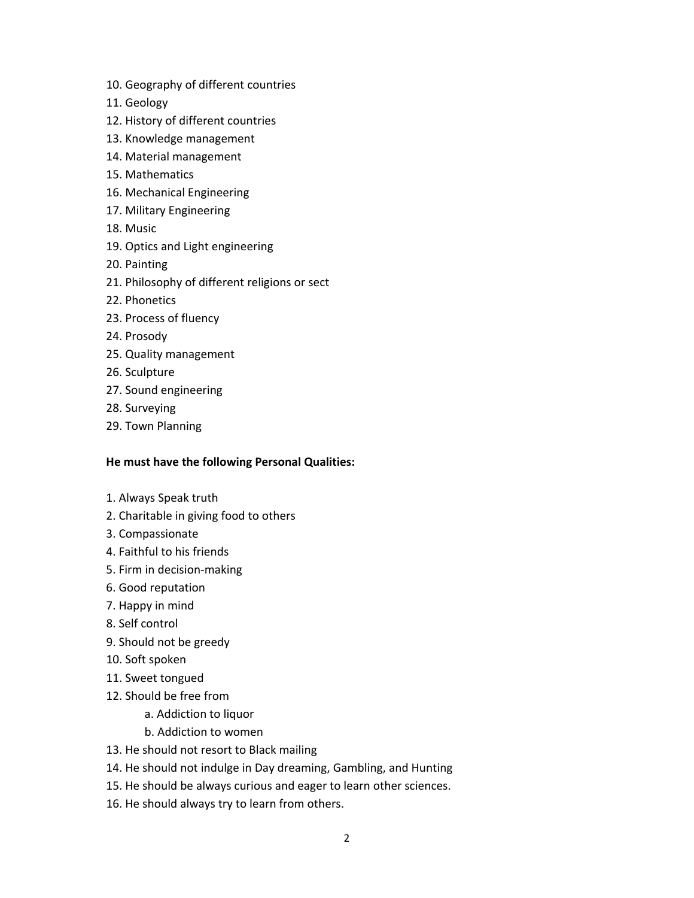- 10. Geography of different countries
- 11. Geology
- 12. History of different countries
- 13. Knowledge management
- 14. Material management
- 15. Mathematics
- 16. Mechanical Engineering
- 17. Military Engineering
- 18. Music
- 19. Optics and Light engineering
- 20. Painting
- 21. Philosophy of different religions or sect
- 22. Phonetics
- 23. Process of fluency
- 24. Prosody
- 25. Quality management
- 26. Sculpture
- 27. Sound engineering
- 28. Surveying
- 29. Town Planning

## **He must have the following Personal Qualities:**

- 1. Always Speak truth
- 2. Charitable in giving food to others
- 3. Compassionate
- 4. Faithful to his friends
- 5. Firm in decision‐making
- 6. Good reputation
- 7. Happy in mind
- 8. Self control
- 9. Should not be greedy
- 10. Soft spoken
- 11. Sweet tongued
- 12. Should be free from
	- a. Addiction to liquor
	- b. Addiction to women
- 13. He should not resort to Black mailing
- 14. He should not indulge in Day dreaming, Gambling, and Hunting
- 15. He should be always curious and eager to learn other sciences.
- 16. He should always try to learn from others.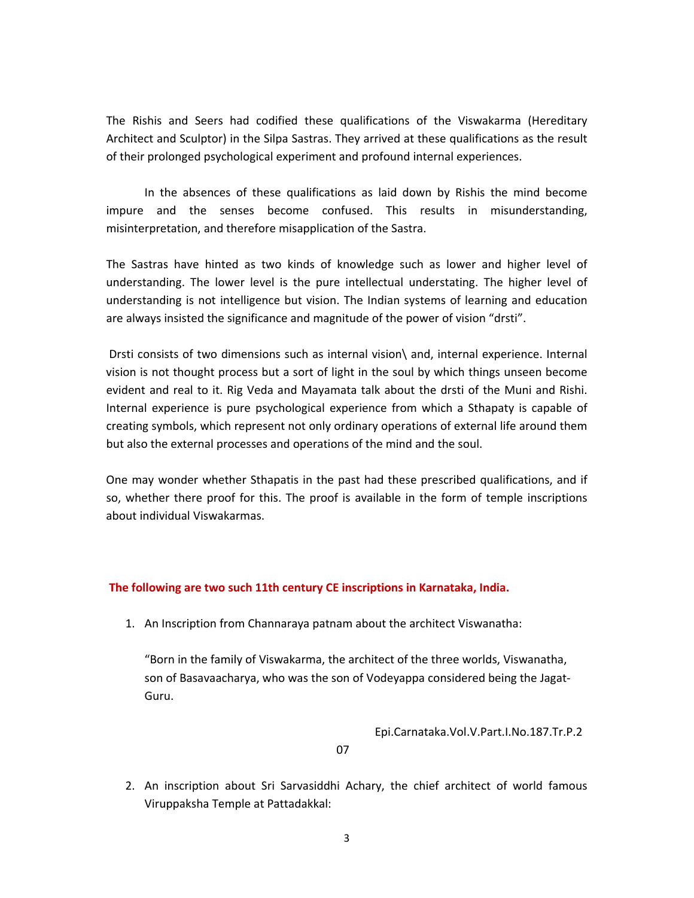The Rishis and Seers had codified these qualifications of the Viswakarma (Hereditary Architect and Sculptor) in the Silpa Sastras. They arrived at these qualifications as the result of their prolonged psychological experiment and profound internal experiences.

In the absences of these qualifications as laid down by Rishis the mind become impure and the senses become confused. This results in misunderstanding, misinterpretation, and therefore misapplication of the Sastra.

The Sastras have hinted as two kinds of knowledge such as lower and higher level of understanding. The lower level is the pure intellectual understating. The higher level of understanding is not intelligence but vision. The Indian systems of learning and education are always insisted the significance and magnitude of the power of vision "drsti".

Drsti consists of two dimensions such as internal vision\ and, internal experience. Internal vision is not thought process but a sort of light in the soul by which things unseen become evident and real to it. Rig Veda and Mayamata talk about the drsti of the Muni and Rishi. Internal experience is pure psychological experience from which a Sthapaty is capable of creating symbols, which represent not only ordinary operations of external life around them but also the external processes and operations of the mind and the soul.

One may wonder whether Sthapatis in the past had these prescribed qualifications, and if so, whether there proof for this. The proof is available in the form of temple inscriptions about individual Viswakarmas.

### **The following are two such 11th century CE inscriptions in Karnataka, India.**

1. An Inscription from Channaraya patnam about the architect Viswanatha:

"Born in the family of Viswakarma, the architect of the three worlds, Viswanatha, son of Basavaacharya, who was the son of Vodeyappa considered being the Jagat‐ Guru.

Epi.Carnataka.Vol.V.Part.I.No.187.Tr.P.2

07

2. An inscription about Sri Sarvasiddhi Achary, the chief architect of world famous Viruppaksha Temple at Pattadakkal: